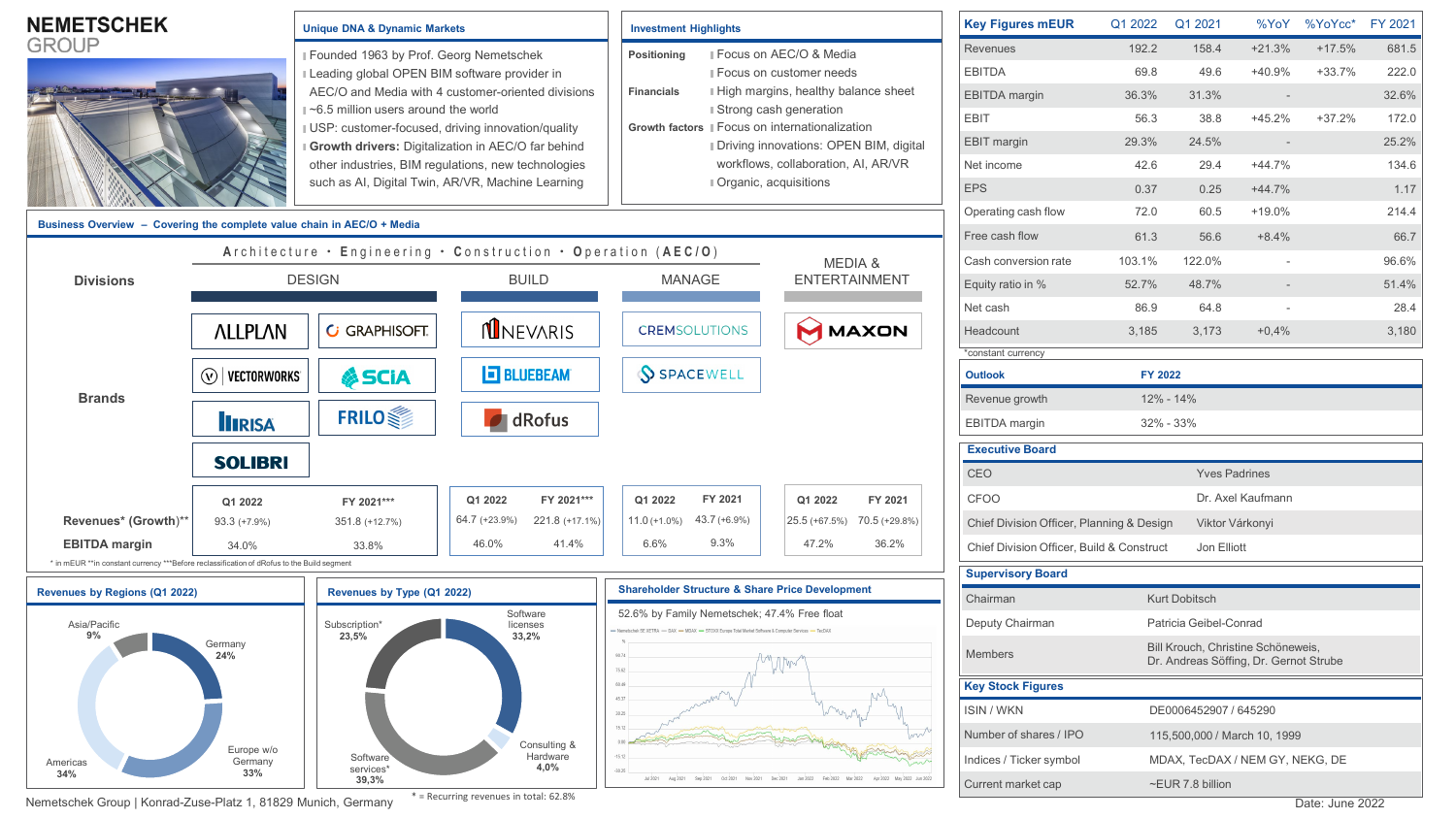| <b>NEMETSCHEK</b>                                                                          |                                                               | <b>Unique DNA &amp; Dynamic Markets</b>                                                                                                                                                                                                                                                                                                                                                                             |                                                            | <b>Investment Highlights</b>                                                                                                                                                    |                                                                    | <b>Key Figures mEUR</b>                   | Q1 2022              | Q1 2021                                                                      | %YoY                     | $%YoYcc*$ | FY 2021 |
|--------------------------------------------------------------------------------------------|---------------------------------------------------------------|---------------------------------------------------------------------------------------------------------------------------------------------------------------------------------------------------------------------------------------------------------------------------------------------------------------------------------------------------------------------------------------------------------------------|------------------------------------------------------------|---------------------------------------------------------------------------------------------------------------------------------------------------------------------------------|--------------------------------------------------------------------|-------------------------------------------|----------------------|------------------------------------------------------------------------------|--------------------------|-----------|---------|
| <b>GROUP</b>                                                                               |                                                               | Founded 1963 by Prof. Georg Nemetschek<br>Leading global OPEN BIM software provider in<br>AEC/O and Media with 4 customer-oriented divisions<br>$\approx$ 6.5 million users around the world<br>USP: customer-focused, driving innovation/quality<br>Growth drivers: Digitalization in AEC/O far behind<br>other industries, BIM regulations, new technologies<br>such as AI, Digital Twin, AR/VR, Machine Learning |                                                            | Focus on AEC/O & Media<br>Positioning                                                                                                                                           |                                                                    | Revenues                                  | 192.2                | 158.4                                                                        | $+21.3%$                 | $+17.5%$  | 681.5   |
|                                                                                            |                                                               |                                                                                                                                                                                                                                                                                                                                                                                                                     |                                                            |                                                                                                                                                                                 | ■ Focus on customer needs<br>I High margins, healthy balance sheet | <b>EBITDA</b>                             | 69.8                 | 49.6                                                                         | $+40.9%$                 | $+33.7%$  | 222.0   |
|                                                                                            |                                                               |                                                                                                                                                                                                                                                                                                                                                                                                                     |                                                            | <b>Financials</b>                                                                                                                                                               |                                                                    | <b>EBITDA</b> margin                      | 36.3%                | 31.3%                                                                        | $\sim$                   |           | 32.6%   |
|                                                                                            |                                                               |                                                                                                                                                                                                                                                                                                                                                                                                                     |                                                            | ■ Strong cash generation<br>Growth factors II Focus on internationalization                                                                                                     |                                                                    | <b>EBIT</b>                               | 56.3                 | 38.8                                                                         | $+45.2%$                 | $+37.2%$  | 172.0   |
|                                                                                            |                                                               |                                                                                                                                                                                                                                                                                                                                                                                                                     |                                                            |                                                                                                                                                                                 | Driving innovations: OPEN BIM, digital                             | <b>EBIT</b> margin                        | 29.3%                | 24.5%                                                                        | $\overline{\phantom{a}}$ |           | 25.2%   |
|                                                                                            |                                                               |                                                                                                                                                                                                                                                                                                                                                                                                                     |                                                            |                                                                                                                                                                                 | workflows, collaboration, AI, AR/VR<br>Organic, acquisitions       | Net income                                | 42.6                 | 29.4                                                                         | $+44.7%$                 |           | 134.6   |
|                                                                                            |                                                               |                                                                                                                                                                                                                                                                                                                                                                                                                     |                                                            |                                                                                                                                                                                 |                                                                    | <b>EPS</b>                                | 0.37                 | 0.25                                                                         | $+44.7%$                 |           | 1.17    |
|                                                                                            |                                                               |                                                                                                                                                                                                                                                                                                                                                                                                                     |                                                            |                                                                                                                                                                                 | Operating cash flow                                                | 72.0                                      | 60.5                 | $+19.0%$                                                                     |                          | 214.4     |         |
| Business Overview - Covering the complete value chain in AEC/O + Media                     |                                                               |                                                                                                                                                                                                                                                                                                                                                                                                                     |                                                            |                                                                                                                                                                                 |                                                                    | Free cash flow                            | 61.3                 | 56.6                                                                         | $+8.4%$                  |           | 66.7    |
|                                                                                            | Architecture · Engineering · Construction · Operation (AEC/O) |                                                                                                                                                                                                                                                                                                                                                                                                                     |                                                            |                                                                                                                                                                                 | MEDIA &<br><b>ENTERTAINMENT</b>                                    | Cash conversion rate                      | 103.1%               | 122.0%                                                                       |                          |           | 96.6%   |
| <b>Divisions</b>                                                                           | <b>DESIGN</b>                                                 |                                                                                                                                                                                                                                                                                                                                                                                                                     | <b>BUILD</b>                                               | <b>MANAGE</b>                                                                                                                                                                   |                                                                    | Equity ratio in %                         | 52.7%                | 48.7%                                                                        |                          |           | 51.4%   |
| <b>Brands</b>                                                                              |                                                               |                                                                                                                                                                                                                                                                                                                                                                                                                     |                                                            |                                                                                                                                                                                 |                                                                    | Net cash                                  | 86.9                 | 64.8                                                                         |                          |           | 28.4    |
|                                                                                            | <b>ALLPLAN</b>                                                | <b>GRAPHISOFT.</b>                                                                                                                                                                                                                                                                                                                                                                                                  | <b>NINEVARIS</b>                                           | <b>CREMSOLUTIONS</b>                                                                                                                                                            | MAXON                                                              | Headcount                                 | 3,185                | 3,173                                                                        | $+0.4%$                  |           | 3,180   |
|                                                                                            |                                                               |                                                                                                                                                                                                                                                                                                                                                                                                                     |                                                            |                                                                                                                                                                                 |                                                                    | *constant currency                        |                      |                                                                              |                          |           |         |
|                                                                                            | $\circledcirc$   vectorworks<br><b>&amp; SCIA</b>             |                                                                                                                                                                                                                                                                                                                                                                                                                     | <b>E BLUEBEAM</b>                                          | <b>SPACEWELL</b>                                                                                                                                                                |                                                                    | <b>Outlook</b>                            | <b>FY 2022</b>       |                                                                              |                          |           |         |
|                                                                                            |                                                               |                                                                                                                                                                                                                                                                                                                                                                                                                     |                                                            |                                                                                                                                                                                 |                                                                    | Revenue growth                            |                      | 12% - 14%                                                                    |                          |           |         |
|                                                                                            | <b>IIRISA</b>                                                 | <b>FRILO</b>                                                                                                                                                                                                                                                                                                                                                                                                        |                                                            | $\blacksquare$ dRofus                                                                                                                                                           |                                                                    | <b>EBITDA</b> margin                      |                      | 32% - 33%                                                                    |                          |           |         |
|                                                                                            | <b>SOLIBRI</b>                                                |                                                                                                                                                                                                                                                                                                                                                                                                                     |                                                            |                                                                                                                                                                                 |                                                                    | <b>Executive Board</b>                    |                      |                                                                              |                          |           |         |
|                                                                                            |                                                               |                                                                                                                                                                                                                                                                                                                                                                                                                     |                                                            |                                                                                                                                                                                 |                                                                    | CEO                                       |                      | <b>Yves Padrines</b>                                                         |                          |           |         |
|                                                                                            | Q1 2022                                                       | FY 2021***                                                                                                                                                                                                                                                                                                                                                                                                          | Q1 2022<br>FY 2021 ***                                     | FY 2021<br>Q1 2022                                                                                                                                                              | Q1 2022<br>FY 2021                                                 | CFOO                                      |                      |                                                                              | Dr. Axel Kaufmann        |           |         |
| Revenues* (Growth)**                                                                       | $93.3 (+7.9%)$                                                | 351.8 (+12.7%)                                                                                                                                                                                                                                                                                                                                                                                                      | 64.7 (+23.9%)<br>221.8 (+17.1%)                            | $43.7 (+6.9\%)$<br>$11.0 (+1.0\%)$                                                                                                                                              | 25.5 (+67.5%) 70.5 (+29.8%)                                        | Chief Division Officer, Planning & Design |                      | Viktor Várkonyi                                                              |                          |           |         |
| <b>EBITDA</b> margin                                                                       | 34.0%                                                         | 33.8%                                                                                                                                                                                                                                                                                                                                                                                                               | 46.0%<br>41.4%                                             | 9.3%<br>6.6%                                                                                                                                                                    | 47.2%<br>36.2%                                                     | Chief Division Officer, Build & Construct |                      | Jon Elliott                                                                  |                          |           |         |
| * in mEUR **in constant currency ***Before reclassification of dRofus to the Build segment |                                                               |                                                                                                                                                                                                                                                                                                                                                                                                                     |                                                            |                                                                                                                                                                                 |                                                                    | <b>Supervisory Board</b>                  |                      |                                                                              |                          |           |         |
| Revenues by Regions (Q1 2022)<br>Revenues by Type (Q1 2022)                                |                                                               |                                                                                                                                                                                                                                                                                                                                                                                                                     | <b>Shareholder Structure &amp; Share Price Development</b> |                                                                                                                                                                                 | Chairman                                                           |                                           | <b>Kurt Dobitsch</b> |                                                                              |                          |           |         |
| Asia/Pacific<br>9%<br>Germany<br>24%<br>Europe w/o<br>Germany<br>Americas<br>33%<br>34%    |                                                               | Software<br>Subscription*<br>licenses<br>23,5%<br>33,2%<br>Consulting &<br>Hardware<br>Software<br>4,0%                                                                                                                                                                                                                                                                                                             |                                                            | 52.6% by Family Nemetschek; 47.4% Free float<br>- Nemetschek SF XFTRA - DAX - MDAX - STOXX Furone Total Market Software & Computer Services - TecDAY<br>75.62<br>45.37<br>30.25 |                                                                    | Deputy Chairman                           |                      | Patricia Geibel-Conrad                                                       |                          |           |         |
|                                                                                            |                                                               |                                                                                                                                                                                                                                                                                                                                                                                                                     |                                                            |                                                                                                                                                                                 |                                                                    | <b>Members</b>                            |                      | Bill Krouch, Christine Schöneweis,<br>Dr. Andreas Söffing, Dr. Gernot Strube |                          |           |         |
|                                                                                            |                                                               |                                                                                                                                                                                                                                                                                                                                                                                                                     |                                                            |                                                                                                                                                                                 |                                                                    | <b>Key Stock Figures</b>                  |                      |                                                                              |                          |           |         |
|                                                                                            |                                                               |                                                                                                                                                                                                                                                                                                                                                                                                                     |                                                            |                                                                                                                                                                                 |                                                                    | <b>ISIN/WKN</b>                           |                      | DE0006452907 / 645290                                                        |                          |           |         |
|                                                                                            |                                                               |                                                                                                                                                                                                                                                                                                                                                                                                                     |                                                            |                                                                                                                                                                                 |                                                                    | Number of shares / IPO                    |                      | 115,500,000 / March 10, 1999                                                 |                          |           |         |
|                                                                                            |                                                               |                                                                                                                                                                                                                                                                                                                                                                                                                     |                                                            |                                                                                                                                                                                 |                                                                    | Indices / Ticker symbol                   |                      | MDAX, TecDAX / NEM GY, NEKG, DE                                              |                          |           |         |
|                                                                                            |                                                               | services*<br>39,3%                                                                                                                                                                                                                                                                                                                                                                                                  |                                                            | $-30.25$<br>Sep 2021                                                                                                                                                            |                                                                    | Current market cap                        | ~EUR 7.8 billion     |                                                                              |                          |           |         |

Nemetschek Group | Konrad-Zuse-Platz 1, 81829 Munich, Germany \* = Recurring revenues in total: 62.8%

\* = Recurring revenues in total: 62.8%

 $\overline{\phantom{0}}$ Ξ

 $\equiv$ e e d